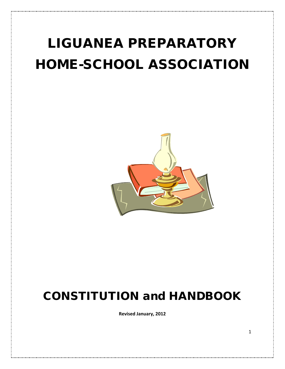# LIGUANEA PREPARATORY HOME-SCHOOL ASSOCIATION



# CONSTITUTION and HANDBOOK

**Revised January, 2012**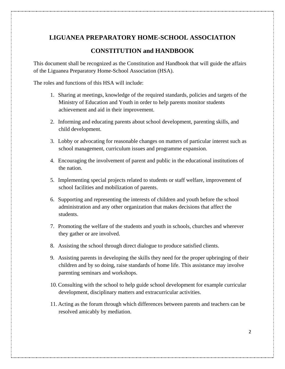# **LIGUANEA PREPARATORY HOME-SCHOOL ASSOCIATION**

# **CONSTITUTION and HANDBOOK**

This document shall be recognized as the Constitution and Handbook that will guide the affairs of the Liguanea Preparatory Home-School Association (HSA).

The roles and functions of this HSA will include:

- 1. Sharing at meetings, knowledge of the required standards, policies and targets of the Ministry of Education and Youth in order to help parents monitor students achievement and aid in their improvement.
- 2. Informing and educating parents about school development, parenting skills, and child development.
- 3. Lobby or advocating for reasonable changes on matters of particular interest such as school management, curriculum issues and programme expansion.
- 4. Encouraging the involvement of parent and public in the educational institutions of the nation.
- 5. Implementing special projects related to students or staff welfare, improvement of school facilities and mobilization of parents.
- 6. Supporting and representing the interests of children and youth before the school administration and any other organization that makes decisions that affect the students.
- 7. Promoting the welfare of the students and youth in schools, churches and wherever they gather or are involved.
- 8. Assisting the school through direct dialogue to produce satisfied clients.
- 9. Assisting parents in developing the skills they need for the proper upbringing of their children and by so doing, raise standards of home life. This assistance may involve parenting seminars and workshops.
- 10.Consulting with the school to help guide school development for example curricular development, disciplinary matters and extracurricular activities.
- 11. Acting as the forum through which differences between parents and teachers can be resolved amicably by mediation.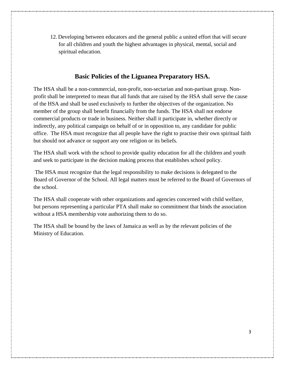12. Developing between educators and the general public a united effort that will secure for all children and youth the highest advantages in physical, mental, social and spiritual education.

# **Basic Policies of the Liguanea Preparatory HSA.**

The HSA shall be a non-commercial, non-profit, non-sectarian and non-partisan group. Nonprofit shall be interpreted to mean that all funds that are raised by the HSA shall serve the cause of the HSA and shall be used exclusively to further the objectives of the organization. No member of the group shall benefit financially from the funds. The HSA shall not endorse commercial products or trade in business. Neither shall it participate in, whether directly or indirectly, any political campaign on behalf of or in opposition to, any candidate for public office. The HSA must recognize that all people have the right to practise their own spiritual faith but should not advance or support any one religion or its beliefs.

The HSA shall work with the school to provide quality education for all the children and youth and seek to participate in the decision making process that establishes school policy.

The HSA must recognize that the legal responsibility to make decisions is delegated to the Board of Governor of the School. All legal matters must be referred to the Board of Governors of the school.

The HSA shall cooperate with other organizations and agencies concerned with child welfare, but persons representing a particular PTA shall make no commitment that binds the association without a HSA membership vote authorizing them to do so.

The HSA shall be bound by the laws of Jamaica as well as by the relevant policies of the Ministry of Education.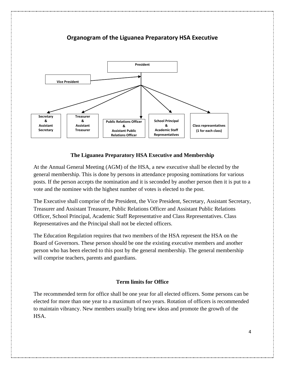

# **Organogram of the Liguanea Preparatory HSA Executive**

# **The Liguanea Preparatory HSA Executive and Membership**

At the Annual General Meeting (AGM) of the HSA, a new executive shall be elected by the general membership. This is done by persons in attendance proposing nominations for various posts. If the person accepts the nomination and it is seconded by another person then it is put to a vote and the nominee with the highest number of votes is elected to the post.

The Executive shall comprise of the President, the Vice President, Secretary, Assistant Secretary, Treasurer and Assistant Treasurer, Public Relations Officer and Assistant Public Relations Officer, School Principal, Academic Staff Representative and Class Representatives. Class Representatives and the Principal shall not be elected officers.

The Education Regulation requires that two members of the HSA represent the HSA on the Board of Governors. These person should be one the existing executive members and another person who has been elected to this post by the general membership. The general membership will comprise teachers, parents and guardians.

# **Term limits for Office**

The recommended term for office shall be one year for all elected officers. Some persons can be elected for more than one year to a maximum of two years. Rotation of officers is recommended to maintain vibrancy. New members usually bring new ideas and promote the growth of the HSA.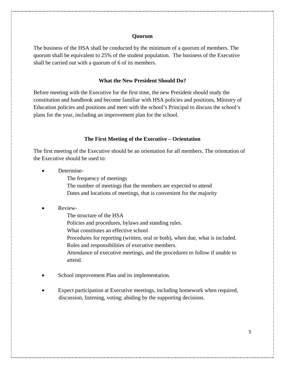#### **Quorum**

The business of the HSA shall be conducted by the minimum of a quorum of members. The quorum shall be equivalent to 25% of the student population. The business of the Executive shall be carried out with a quorum of 6 of its members.

#### **What the New President Should Do?**

Before meeting with the Executive for the first time, the new President should study the constitution and handbook and become familiar with HSA policies and positions, Ministry of Education policies and positions and meet with the school's Principal to discuss the school's plans for the year, including an improvement plan for the school.

#### **The First Meeting of the Executive – Orientation**

The first meeting of the Executive should be an orientation for all members. The orientation of the Executive should be used to:

- Determine-
	- The frequency of meetings
	- The number of meetings that the members are expected to attend
	- Dates and locations of meetings, that is convenient for the majority

#### • Review-

- The structure of the HSA
- Policies and procedures, bylaws and standing rules.
- What constitutes an effective school
- Procedures for reporting (written, oral or both), when due, what is included. Roles and responsibilities of executive members.

Attendance of executive meetings, and the procedures to follow if unable to attend.

- School improvement Plan and its implementation.
- Expect participation at Executive meetings, including homework when required, discussion, listening, voting; abiding by the supporting decisions.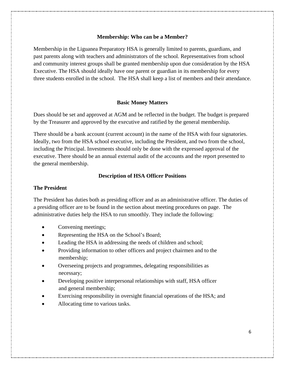#### **Membership: Who can be a Member?**

Membership in the Liguanea Preparatory HSA is generally limited to parents, guardians, and past parents along with teachers and administrators of the school. Representatives from school and community interest groups shall be granted membership upon due consideration by the HSA Executive. The HSA should ideally have one parent or guardian in its membership for every three students enrolled in the school. The HSA shall keep a list of members and their attendance.

#### **Basic Money Matters**

Dues should be set and approved at AGM and be reflected in the budget. The budget is prepared by the Treasurer and approved by the executive and ratified by the general membership.

There should be a bank account (current account) in the name of the HSA with four signatories. Ideally, two from the HSA school executive, including the President, and two from the school, including the Principal. Investments should only be done with the expressed approval of the executive. There should be an annual external audit of the accounts and the report presented to the general membership.

#### **Description of HSA Officer Positions**

#### **The President**

The President has duties both as presiding officer and as an administrative officer. The duties of a presiding officer are to be found in the section about meeting procedures on page. The administrative duties help the HSA to run smoothly. They include the following:

- Convening meetings;
- Representing the HSA on the School's Board;
- Leading the HSA in addressing the needs of children and school;
- Providing information to other officers and project chairmen and to the membership;
- Overseeing projects and programmes, delegating responsibilities as necessary;
- Developing positive interpersonal relationships with staff, HSA officer and general membership;
- Exercising responsibility in oversight financial operations of the HSA; and
- Allocating time to various tasks.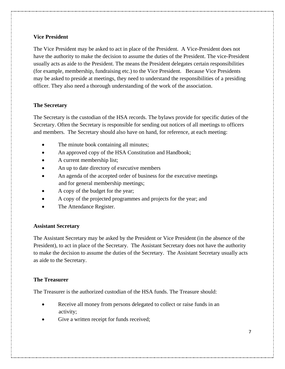#### **Vice President**

The Vice President may be asked to act in place of the President. A Vice-President does not have the authority to make the decision to assume the duties of the President. The vice-President usually acts as aide to the President. The means the President delegates certain responsibilities (for example, membership, fundraising etc.) to the Vice President. Because Vice Presidents may be asked to preside at meetings, they need to understand the responsibilities of a presiding officer. They also need a thorough understanding of the work of the association.

# **The Secretary**

The Secretary is the custodian of the HSA records. The bylaws provide for specific duties of the Secretary. Often the Secretary is responsible for sending out notices of all meetings to officers and members. The Secretary should also have on hand, for reference, at each meeting:

- The minute book containing all minutes;
- An approved copy of the HSA Constitution and Handbook;
- A current membership list;
- An up to date directory of executive members
- An agenda of the accepted order of business for the executive meetings and for general membership meetings;
- A copy of the budget for the year;
- A copy of the projected programmes and projects for the year; and
- The Attendance Register.

#### **Assistant Secretary**

The Assistant Secretary may be asked by the President or Vice President (in the absence of the President), to act in place of the Secretary. The Assistant Secretary does not have the authority to make the decision to assume the duties of the Secretary. The Assistant Secretary usually acts as aide to the Secretary.

#### **The Treasurer**

The Treasurer is the authorized custodian of the HSA funds. The Treasure should:

- Receive all money from persons delegated to collect or raise funds in an activity;
- Give a written receipt for funds received;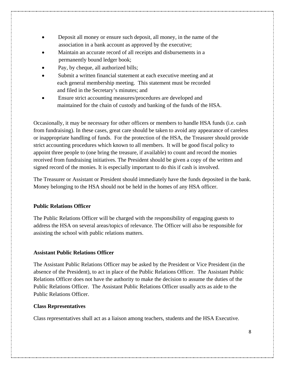- Deposit all money or ensure such deposit, all money, in the name of the association in a bank account as approved by the executive;
- Maintain an accurate record of all receipts and disbursements in a permanently bound ledger book;
- Pay, by cheque, all authorized bills;
- Submit a written financial statement at each executive meeting and at each general membership meeting. This statement must be recorded and filed in the Secretary's minutes; and
- Ensure strict accounting measures/procedures are developed and maintained for the chain of custody and banking of the funds of the HSA.

Occasionally, it may be necessary for other officers or members to handle HSA funds (i.e. cash from fundraising). In these cases, great care should be taken to avoid any appearance of careless or inappropriate handling of funds. For the protection of the HSA, the Treasurer should provide strict accounting procedures which known to all members. It will be good fiscal policy to appoint three people to (one bring the treasure, if available) to count and record the monies received from fundraising initiatives. The President should be given a copy of the written and signed record of the monies. It is especially important to do this if cash is involved.

The Treasurer or Assistant or President should immediately have the funds deposited in the bank. Money belonging to the HSA should not be held in the homes of any HSA officer.

# **Public Relations Officer**

The Public Relations Officer will be charged with the responsibility of engaging guests to address the HSA on several areas/topics of relevance. The Officer will also be responsible for assisting the school with public relations matters.

# **Assistant Public Relations Officer**

The Assistant Public Relations Officer may be asked by the President or Vice President (in the absence of the President), to act in place of the Public Relations Officer. The Assistant Public Relations Officer does not have the authority to make the decision to assume the duties of the Public Relations Officer. The Assistant Public Relations Officer usually acts as aide to the Public Relations Officer.

# **Class Representatives**

Class representatives shall act as a liaison among teachers, students and the HSA Executive.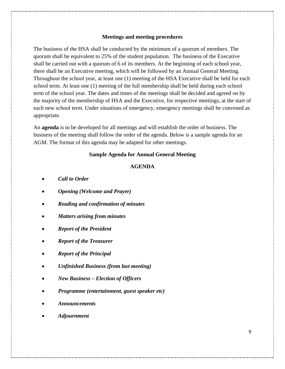#### **Meetings and meeting procedures**

The business of the HSA shall be conducted by the minimum of a quorum of members. The quorum shall be equivalent to 25% of the student population. The business of the Executive shall be carried out with a quorum of 6 of its members. At the beginning of each school year, there shall be an Executive meeting, which will be followed by an Annual General Meeting. Throughout the school year, at least one (1) meeting of the HSA Executive shall be held for each school term. At least one (1) meeting of the full membership shall be held during each school term of the school year. The dates and times of the meetings shall be decided and agreed on by the majority of the membership of HSA and the Executive, for respective meetings, at the start of each new school term. Under situations of emergency, emergency meetings shall be convened as appropriate.

An **agenda** is to be developed for all meetings and will establish the order of business. The business of the meeting shall follow the order of the agenda. Below is a sample agenda for an AGM. The format of this agenda may be adapted for other meetings.

#### **Sample Agenda for Annual General Meeting**

#### **AGENDA**

- *Call to Order*
- *Opening (Welcome and Prayer)*
- *Reading and confirmation of minutes*
- *Matters arising from minutes*
- *Report of the President*
- *Report of the Treasurer*
- *Report of the Principal*
- *Unfinished Business (from last meeting)*
- *New Business – Election of Officers*
- *Programme (entertainment, guest speaker etc)*
- *Announcements*
- *Adjournment*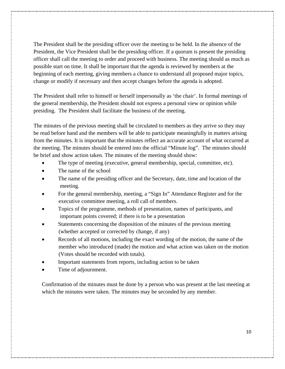The President shall be the presiding officer over the meeting to be held. In the absence of the President, the Vice President shall be the presiding officer. If a quorum is present the presiding officer shall call the meeting to order and proceed with business. The meeting should as much as possible start on time. It shall be important that the agenda is reviewed by members at the beginning of each meeting, giving members a chance to understand all proposed major topics, change or modify if necessary and then accept changes before the agenda is adopted.

The President shall refer to himself or herself impersonally as 'the chair'. In formal meetings of the general membership, the President should not express a personal view or opinion while presiding. The President shall facilitate the business of the meeting.

The minutes of the previous meeting shall be circulated to members as they arrive so they may be read before hand and the members will be able to participate meaningfully in matters arising from the minutes. It is important that the minutes reflect an accurate account of what occurred at the meeting. The minutes should be entered into the official "Minute log". The minutes should be brief and show action taken. The minutes of the meeting should show:

- The type of meeting (executive, general membership, special, committee, etc).
- The name of the school
- The name of the presiding officer and the Secretary, date, time and location of the meeting.
- For the general membership, meeting, a "Sign In" Attendance Register and for the executive committee meeting, a roll call of members.
- Topics of the programme, methods of presentation, names of participants, and important points covered; if there is to be a presentation
- Statements concerning the disposition of the minutes of the previous meeting (whether accepted or corrected by change, if any)
- Records of all motions, including the exact wording of the motion, the name of the member who introduced (made) the motion and what action was taken on the motion (Votes should be recorded with totals).
- Important statements from reports, including action to be taken
- Time of adjournment.

Confirmation of the minutes must be done by a person who was present at the last meeting at which the minutes were taken. The minutes may be seconded by any member.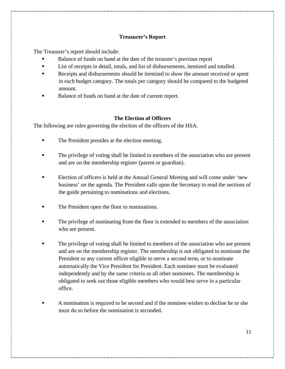### **Treasurer's Report**

The Treasurer's report should include:

- Balance of funds on hand at the date of the treasure's previous report
- List of receipts in detail, totals, and list of disbursements, itemized and totalled.
- Receipts and disbursements should be itemized to show the amount received or spent in each budget category. The totals per category should be compared to the budgeted amount.
- Balance of funds on hand at the date of current report.

#### **The Election of Officers**

The following are rules governing the election of the officers of the HSA.

- The President presides at the election meeting.
- The privilege of voting shall be limited to members of the association who are present and are on the membership register (parent or guardian).
- Election of officers is held at the Annual General Meeting and will come under 'new business' on the agenda. The President calls upon the Secretary to read the sections of the guide pertaining to nominations and elections.
- The President open the floor to nominations.
- The privilege of nominating from the floor is extended to members of the association who are present.
- The privilege of voting shall be limited to members of the association who are present and are on the membership register. The membership is not obligated to nominate the President or any current officer eligible to serve a second term, or to nominate automatically the Vice President for President. Each nominee must be evaluated independently and by the same criteria as all other nominees. The membership is obligated to seek out those eligible members who would best serve in a particular office.
- A nomination is required to be second and if the nominee wishes to decline he or she must do so before the nomination is seconded.